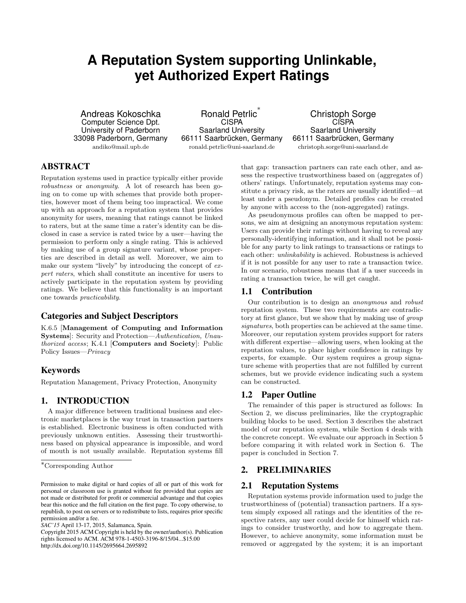# **A Reputation System supporting Unlinkable, yet Authorized Expert Ratings**

Andreas Kokoschka Computer Science Dpt. University of Paderborn 33098 Paderborn, Germany andiko@mail.upb.de

Ronald Petrlic<sup>\*</sup> CISPA Saarland University 66111 Saarbrücken, Germany ronald.petrlic@uni-saarland.de

Christoph Sorge CISPA Saarland University 66111 Saarbrücken, Germany christoph.sorge@uni-saarland.de

# ABSTRACT

Reputation systems used in practice typically either provide robustness or anonymity. A lot of research has been going on to come up with schemes that provide both properties, however most of them being too impractical. We come up with an approach for a reputation system that provides anonymity for users, meaning that ratings cannot be linked to raters, but at the same time a rater's identity can be disclosed in case a service is rated twice by a user—having the permission to perform only a single rating. This is achieved by making use of a group signature variant, whose properties are described in detail as well. Moreover, we aim to make our system "lively" by introducing the concept of expert raters, which shall constitute an incentive for users to actively participate in the reputation system by providing ratings. We believe that this functionality is an important one towards practicability.

# Categories and Subject Descriptors

K.6.5 [Management of Computing and Information Systems]: Security and Protection—Authentication, Unauthorized access; K.4.1 [Computers and Society]: Public Policy Issues—Privacy

# Keywords

Reputation Management, Privacy Protection, Anonymity

# 1. INTRODUCTION

A major difference between traditional business and electronic marketplaces is the way trust in transaction partners is established. Electronic business is often conducted with previously unknown entities. Assessing their trustworthiness based on physical appearance is impossible, and word of mouth is not usually available. Reputation systems fill

*SAC'15* April 13-17, 2015, Salamanca, Spain.

Copyright 2015 ACM Copyright is held by the owner/author(s). Publication rights licensed to ACM. ACM 978-1-4503-3196-8/15/04...\$15.00 http://dx.doi.org/10.1145/2695664.2695892

that gap: transaction partners can rate each other, and assess the respective trustworthiness based on (aggregates of) others' ratings. Unfortunately, reputation systems may constitute a privacy risk, as the raters are usually identified—at least under a pseudonym. Detailed profiles can be created by anyone with access to the (non-aggregated) ratings.

As pseudonymous profiles can often be mapped to persons, we aim at designing an anonymous reputation system: Users can provide their ratings without having to reveal any personally-identifying information, and it shall not be possible for any party to link ratings to transactions or ratings to each other: unlinkability is achieved. Robustness is achieved if it is not possible for any user to rate a transaction twice. In our scenario, robustness means that if a user succeeds in rating a transaction twice, he will get caught.

# 1.1 Contribution

Our contribution is to design an anonymous and robust reputation system. These two requirements are contradictory at first glance, but we show that by making use of group signatures, both properties can be achieved at the same time. Moreover, our reputation system provides support for raters with different expertise—allowing users, when looking at the reputation values, to place higher confidence in ratings by experts, for example. Our system requires a group signature scheme with properties that are not fulfilled by current schemes, but we provide evidence indicating such a system can be constructed.

# 1.2 Paper Outline

The remainder of this paper is structured as follows: In Section 2, we discuss preliminaries, like the cryptographic building blocks to be used. Section 3 describes the abstract model of our reputation system, while Section 4 deals with the concrete concept. We evaluate our approach in Section 5 before comparing it with related work in Section 6. The paper is concluded in Section 7.

# 2. PRELIMINARIES

## 2.1 Reputation Systems

Reputation systems provide information used to judge the trustworthiness of (potential) transaction partners. If a system simply exposed all ratings and the identities of the respective raters, any user could decide for himself which ratings to consider trustworthy, and how to aggregate them. However, to achieve anonymity, some information must be removed or aggregated by the system; it is an important

<sup>∗</sup>Corresponding Author

Permission to make digital or hard copies of all or part of this work for personal or classroom use is granted without fee provided that copies are not made or distributed for profit or commercial advantage and that copies bear this notice and the full citation on the first page. To copy otherwise, to republish, to post on servers or to redistribute to lists, requires prior specific permission and/or a fee.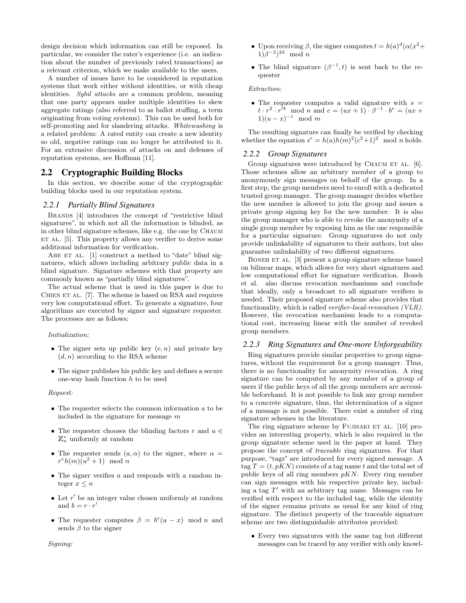design decision which information can still be exposed. In particular, we consider the rater's experience (i.e. an indication about the number of previously rated transactions) as a relevant criterion, which we make available to the users.

A number of issues have to be considered in reputation systems that work either without identities, or with cheap identities. Sybil attacks are a common problem, meaning that one party appears under multiple identities to skew aggregate ratings (also referred to as ballot stuffing, a term originating from voting systems). This can be used both for self-promoting and for slandering attacks. Whitewashing is a related problem: A rated entity can create a new identity so old, negative ratings can no longer be attributed to it. For an extensive discussion of attacks on and defenses of reputation systems, see Hoffman [11].

#### 2.2 Cryptographic Building Blocks

In this section, we describe some of the cryptographic building blocks used in our reputation system.

#### *2.2.1 Partially Blind Signatures*

Brands [4] introduces the concept of "restrictive blind signatures", in which not all the information is blinded, as in other blind signature schemes, like e.g. the one by Chaum ET AL. [5]. This property allows any verifier to derive some additional information for verification.

ABE ET AL.  $[1]$  construct a method to "date" blind signatures, which allows including arbitrary public data in a blind signature. Signature schemes with that property are commonly known as "partially blind signatures".

The actual scheme that is used in this paper is due to CHIEN ET AL. [7]. The scheme is based on RSA and requires very low computational effort. To generate a signature, four algorithms are executed by signer and signature requester. The processes are as follows:

Initialization:

- The signer sets up public key  $(e, n)$  and private key  $(d, n)$  according to the RSA scheme
- The signer publishes his public key and defines a secure one-way hash function  $h$  to be used

Request:

- The requester selects the common information  $a$  to be included in the signature for message m
- The requester chooses the blinding factors  $r$  and  $u \in$  $\mathbb{Z}_n^*$  uniformly at random
- The requester sends  $(a, \alpha)$  to the signer, where  $\alpha =$  $r^e h(m)(u^2+1) \mod n$
- The signer verifies a and responds with a random integer  $x \leq n$
- $\bullet$  Let  $r'$  be an integer value chosen uniformly at random and  $b = r \cdot r'$
- The requester computes  $\beta = b^e(u x) \mod n$  and sends  $\beta$  to the signer
- Upon receiving  $\beta$ , the signer computes  $t = h(a)^d (\alpha (x^2 +$  $(1)\beta^{-2})^{2d} \mod n$
- The blind signature  $(\beta^{-1}, t)$  is sent back to the requester

#### Extraction:

• The requester computes a valid signature with  $s =$  $t \cdot r^2 \cdot r^{\bar{1}4} \mod n$  and  $c = (ux + 1) \cdot \beta^{-1} \cdot b^e = (ux + 1) \cdot \beta^{-1} \cdot b^e$  $1)(u-x)^{-1} \mod m$ 

The resulting signature can finally be verified by checking whether the equation  $s^e = h(a)h(m)^2(c^2+1)^2 \mod n$  holds.

#### *2.2.2 Group Signatures*

Group signatures were introduced by CHAUM ET AL. [6]. Those schemes allow an arbitrary member of a group to anonymously sign messages on behalf of the group. In a first step, the group members need to enroll with a dedicated trusted group manager. The group manager decides whether the new member is allowed to join the group and issues a private group signing key for the new member. It is also the group manager who is able to revoke the anonymity of a single group member by exposing him as the one responsible for a particular signature. Group signatures do not only provide unlinkability of signatures to their authors, but also guarantee unlinkability of two different signatures.

BONEH ET AL. [3] present a group signature scheme based on bilinear maps, which allows for very short signatures and low computational effort for signature verification. Boneh et al. also discuss revocation mechanisms and conclude that ideally, only a broadcast to all signature verifiers is needed. Their proposed signature scheme also provides that functionality, which is called verifier-local-revocation (VLR). However, the revocation mechanism leads to a computational cost, increasing linear with the number of revoked group members.

#### *2.2.3 Ring Signatures and One-more Unforgeability*

Ring signatures provide similar properties to group signatures, without the requirement for a group manager. Thus, there is no functionality for anonymity revocation. A ring signature can be computed by any member of a group of users if the public keys of all the group members are accessible beforehand. It is not possible to link any group member to a concrete signature, thus, the determination of a signer of a message is not possible. There exist a number of ring signature schemes in the literature.

The ring signature scheme by FUJISAKI ET AL. [10] provides an interesting property, which is also required in the group signature scheme used in the paper at hand. They propose the concept of traceable ring signatures. For that purpose, "tags" are introduced for every signed message. A  $\text{tag } T = (t, pKN)$  consists of a tag name t and the total set of public keys of all ring members  $pKN$ . Every ring member can sign messages with his respective private key, including a tag  $T'$  with an arbitrary tag name. Messages can be verified with respect to the included tag, while the identity of the signer remains private as usual for any kind of ring signature. The distinct property of the traceable signature scheme are two distinguishable attributes provided:

• Every two signatures with the same tag but different messages can be traced by any verifier with only knowl-

Signing: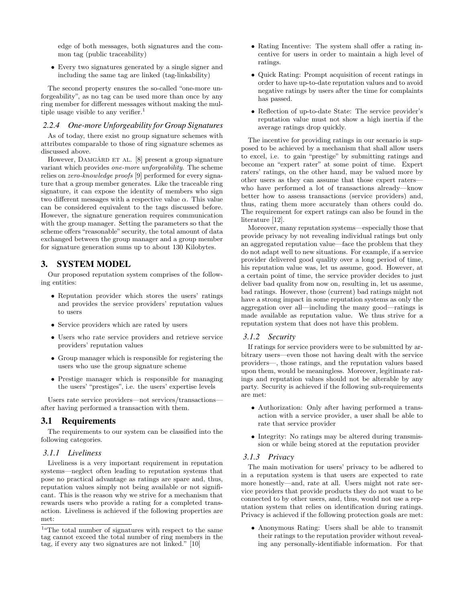edge of both messages, both signatures and the common tag (public traceability)

• Every two signatures generated by a single signer and including the same tag are linked (tag-linkability)

The second property ensures the so-called "one-more unforgeability", as no tag can be used more than once by any ring member for different messages without making the multiple usage visible to any verifier.<sup>1</sup>

#### *2.2.4 One-more Unforgeability for Group Signatures*

As of today, there exist no group signature schemes with attributes comparable to those of ring signature schemes as discussed above.

However, DAMGÅRD ET AL. [8] present a group signature variant which provides one-more unforgeability. The scheme relies on zero-knowledge proofs [9] performed for every signature that a group member generates. Like the traceable ring signature, it can expose the identity of members who sign two different messages with a respective value  $\alpha$ . This value can be considered equivalent to the tags discussed before. However, the signature generation requires communication with the group manager. Setting the parameters so that the scheme offers "reasonable" security, the total amount of data exchanged between the group manager and a group member for signature generation sums up to about 130 Kilobytes.

# 3. SYSTEM MODEL

Our proposed reputation system comprises of the following entities:

- Reputation provider which stores the users' ratings and provides the service providers' reputation values to users
- Service providers which are rated by users
- Users who rate service providers and retrieve service providers' reputation values
- Group manager which is responsible for registering the users who use the group signature scheme
- Prestige manager which is responsible for managing the users' "prestiges", i.e. the users' expertise levels

Users rate service providers—not services/transactions after having performed a transaction with them.

#### 3.1 Requirements

The requirements to our system can be classified into the following categories.

#### *3.1.1 Liveliness*

Liveliness is a very important requirement in reputation systems—neglect often leading to reputation systems that pose no practical advantage as ratings are spare and, thus, reputation values simply not being available or not significant. This is the reason why we strive for a mechanism that rewards users who provide a rating for a completed transaction. Liveliness is achieved if the following properties are met:

- Rating Incentive: The system shall offer a rating incentive for users in order to maintain a high level of ratings.
- Quick Rating: Prompt acquisition of recent ratings in order to have up-to-date reputation values and to avoid negative ratings by users after the time for complaints has passed.
- Reflection of up-to-date State: The service provider's reputation value must not show a high inertia if the average ratings drop quickly.

The incentive for providing ratings in our scenario is supposed to be achieved by a mechanism that shall allow users to excel, i.e. to gain "prestige" by submitting ratings and become an "expert rater" at some point of time. Expert raters' ratings, on the other hand, may be valued more by other users as they can assume that those expert raters who have performed a lot of transactions already—know better how to assess transactions (service providers) and, thus, rating them more accurately than others could do. The requirement for expert ratings can also be found in the literature [12].

Moreover, many reputation systems—especially those that provide privacy by not revealing individual ratings but only an aggregated reputation value—face the problem that they do not adapt well to new situations. For example, if a service provider delivered good quality over a long period of time, his reputation value was, let us assume, good. However, at a certain point of time, the service provider decides to just deliver bad quality from now on, resulting in, let us assume, bad ratings. However, those (current) bad ratings might not have a strong impact in some reputation systems as only the aggregation over all—including the many good—ratings is made available as reputation value. We thus strive for a reputation system that does not have this problem.

#### *3.1.2 Security*

If ratings for service providers were to be submitted by arbitrary users—even those not having dealt with the service providers—, those ratings, and the reputation values based upon them, would be meaningless. Moreover, legitimate ratings and reputation values should not be alterable by any party. Security is achieved if the following sub-requirements are met:

- Authorization: Only after having performed a transaction with a service provider, a user shall be able to rate that service provider
- Integrity: No ratings may be altered during transmission or while being stored at the reputation provider

#### *3.1.3 Privacy*

The main motivation for users' privacy to be adhered to in a reputation system is that users are expected to rate more honestly—and, rate at all. Users might not rate service providers that provide products they do not want to be connected to by other users, and, thus, would not use a reputation system that relies on identification during ratings. Privacy is achieved if the following protection goals are met:

• Anonymous Rating: Users shall be able to transmit their ratings to the reputation provider without revealing any personally-identifiable information. For that

<sup>&</sup>lt;sup>1</sup>"The total number of signatures with respect to the same tag cannot exceed the total number of ring members in the tag, if every any two signatures are not linked." [10]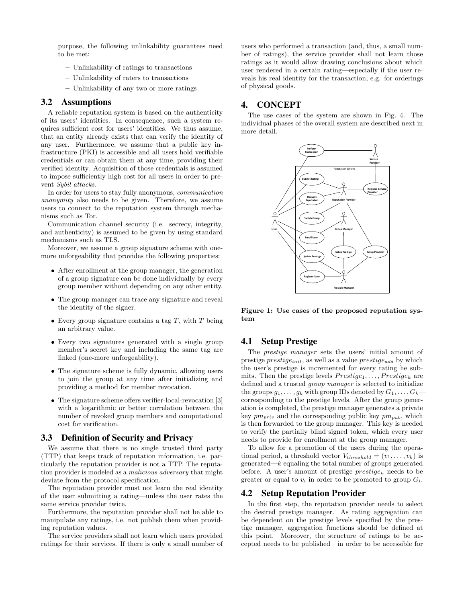purpose, the following unlinkability guarantees need to be met:

- Unlinkability of ratings to transactions
- Unlinkability of raters to transactions
- Unlinkability of any two or more ratings

#### 3.2 Assumptions

A reliable reputation system is based on the authenticity of its users' identities. In consequence, such a system requires sufficient cost for users' identities. We thus assume, that an entity already exists that can verify the identity of any user. Furthermore, we assume that a public key infrastructure (PKI) is accessible and all users hold verifiable credentials or can obtain them at any time, providing their verified identity. Acquisition of those credentials is assumed to impose sufficiently high cost for all users in order to prevent Sybil attacks.

In order for users to stay fully anonymous, communication anonymity also needs to be given. Therefore, we assume users to connect to the reputation system through mechanisms such as Tor.

Communication channel security (i.e. secrecy, integrity, and authenticity) is assumed to be given by using standard mechanisms such as TLS.

Moreover, we assume a group signature scheme with onemore unforgeability that provides the following properties:

- After enrollment at the group manager, the generation of a group signature can be done individually by every group member without depending on any other entity.
- The group manager can trace any signature and reveal the identity of the signer.
- Every group signature contains a tag  $T$ , with  $T$  being an arbitrary value.
- Every two signatures generated with a single group member's secret key and including the same tag are linked (one-more unforgeability).
- The signature scheme is fully dynamic, allowing users to join the group at any time after initializing and providing a method for member revocation.
- The signature scheme offers verifier-local-revocation [3] with a logarithmic or better correlation between the number of revoked group members and computational cost for verification.

#### 3.3 Definition of Security and Privacy

We assume that there is no single trusted third party (TTP) that keeps track of reputation information, i.e. particularly the reputation provider is not a TTP. The reputation provider is modeled as a malicious adversary that might deviate from the protocol specification.

The reputation provider must not learn the real identity of the user submitting a rating—unless the user rates the same service provider twice.

Furthermore, the reputation provider shall not be able to manipulate any ratings, i.e. not publish them when providing reputation values.

The service providers shall not learn which users provided ratings for their services. If there is only a small number of users who performed a transaction (and, thus, a small number of ratings), the service provider shall not learn those ratings as it would allow drawing conclusions about which user rendered in a certain rating—especially if the user reveals his real identity for the transaction, e.g. for orderings of physical goods.

# 4. CONCEPT

The use cases of the system are shown in Fig. 4. The individual phases of the overall system are described next in more detail.



Figure 1: Use cases of the proposed reputation system

# 4.1 Setup Prestige

The prestige manager sets the users' initial amount of prestige  $prestige_{init}$ , as well as a value  $prestige_{add}$  by which the user's prestige is incremented for every rating he submits. Then the prestige levels  $Prestige_1, \ldots, Prestige_k$  are defined and a trusted group manager is selected to initialize the groups  $g_1, \ldots, g_k$  with group IDs denoted by  $G_1, \ldots, G_k$  corresponding to the prestige levels. After the group generation is completed, the prestige manager generates a private key  $pm_{priv}$  and the corresponding public key  $pm_{pub}$ , which is then forwarded to the group manager. This key is needed to verify the partially blind signed token, which every user needs to provide for enrollment at the group manager.

To allow for a promotion of the users during the operational period, a threshold vector  $V_{threshold} = (v_1, \ldots, v_k)$  is  $generated$ — $k$  equaling the total number of groups generated before. A user's amount of prestige  $prestige_u$  needs to be greater or equal to  $v_i$  in order to be promoted to group  $G_i$ .

#### 4.2 Setup Reputation Provider

In the first step, the reputation provider needs to select the desired prestige manager. As rating aggregation can be dependent on the prestige levels specified by the prestige manager, aggregation functions should be defined at this point. Moreover, the structure of ratings to be accepted needs to be published—in order to be accessible for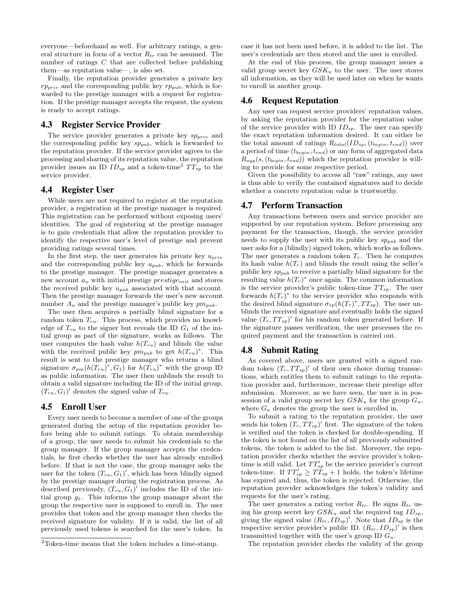everyone—beforehand as well. For arbitrary ratings, a general structure in form of a vector  $R_{tr}$  can be assumed. The number of ratings  $C$  that are collected before publishing them—as reputation value—, is also set.

Finally, the reputation provider generates a private key  $rp_{priv}$  and the corresponding public key  $rp_{pub}$ , which is forwarded to the prestige manager with a request for registration. If the prestige manager accepts the request, the system is ready to accept ratings.

#### 4.3 Register Service Provider

The service provider generates a private key  $sp_{priv}$  and the corresponding public key  $sp_{pub}$ , which is forwarded to the reputation provider. If the service provider agrees to the processing and sharing of its reputation value, the reputation provider issues an ID  $ID_{sp}$  and a token-time<sup>2</sup>  $TT_{sp}$  to the service provider.

# 4.4 Register User

While users are not required to register at the reputation provider, a registration at the prestige manager is required. This registration can be performed without exposing users' identities. The goal of registering at the prestige manager is to gain credentials that allow the reputation provider to identify the respective user's level of prestige and prevent providing ratings several times.

In the first step, the user generates his private key  $u_{priv}$ and the corresponding public key  $u_{pub}$ , which he forwards to the prestige manager. The prestige manager generates a new account  $a_u$  with initial prestige  $prestige_{init}$  and stores the received public key  $u_{pub}$  associated with that account. Then the prestige manager forwards the user's new account number  $A_u$  and the prestige manager's public key  $pm_{pub}$ .

The user then acquires a partially blind signature for a random token  $T_{ru}$ . This process, which provides no knowledge of  $T_{ru}$  to the signer but reveals the ID  $G_1$  of the initial group as part of the signature, works as follows. The user computes the hash value  $h(T_{ru})$  and blinds the value with the received public key  $pm_{pub}$  to get  $h(T_{ru})^*$ . This result is sent to the prestige manager who returns a blind signature  $\sigma_{pm}(h(T_{ru})^*, G_1)$  for  $h(T_{ru})^*$  with the group ID as public information. The user then unblinds the result to obtain a valid signature including the ID of the initial group.  $(T_{ru}, G_1)'$  denotes the signed value of  $T_{ru}$ .

#### 4.5 Enroll User

Every user needs to become a member of one of the groups generated during the setup of the reputation provider before being able to submit ratings. To obtain membership of a group, the user needs to submit his credentials to the group manager. If the group manager accepts the credentials, he first checks whether the user has already enrolled before. If that is not the case, the group manager asks the user for the token  $(T_{ru}, G_1)'$ , which has been blindly signed by the prestige manager during the registration process. As described previously,  $(T_{ru}, G_1)$  includes the ID of the initial group  $g_1$ . This informs the group manager about the group the respective user is supposed to enroll in. The user provides that token and the group manager then checks the received signature for validity. If it is valid, the list of all previously used tokens is searched for the user's token. In case it has not been used before, it is added to the list. The user's credentials are then stored and the user is enrolled.

At the end of this process, the group manager issues a valid group secret key  $GSK_u$  to the user. The user stores all information, as they will be used later on when he wants to enroll in another group.

#### 4.6 Request Reputation

Any user can request service providers' reputation values, by asking the reputation provider for the reputation value of the service provider with ID  $ID_{sp}$ . The user can specify the exact reputation information desired. It can either be the total amount of ratings  $R_{total}(ID_{sp}, (t_{begin}, t_{end}))$  over a period of time  $(t_{begin}, t_{end})$  or any form of aggregated data  $R_{agg}(s,(t_{begin}, t_{end}))$  which the reputation provider is willing to provide for some respective period.

Given the possibility to access all "raw" ratings, any user is thus able to verify the contained signatures and to decide whether a concrete reputation value is trustworthy.

#### 4.7 Perform Transaction

Any transactions between users and service provider are supported by our reputation system. Before processing any payment for the transaction, though, the service provider needs to supply the user with its public key  $sp_{pub}$  and the user asks for a (blindly) signed token, which works as follows. The user generates a random token  $T_r$ . Then he computes its hash value  $h(T_r)$  and blinds the result using the seller's public key  $sp_{pub}$  to receive a partially blind signature for the resulting value  $h(T_r)^*$  once again. The common information is the service provider's public token-time  $TT_{sp}$ . The user forwards  $h(T_r)^*$  to the service provider who responds with the desired blind signature  $\sigma_{sp}(h(T_r)^*, TT_{sp})$ . The user unblinds the received signature and eventually holds the signed value  $(T_r, TT_{sp})'$  for his random token generated before. If the signature passes verification, the user processes the required payment and the transaction is carried out.

#### 4.8 Submit Rating

As covered above, users are granted with a signed random token  $(T_r, TT_{sp})'$  of their own choice during transactions, which entitles them to submit ratings to the reputation provider and, furthermore, increase their prestige after submission. Moreover, as we have seen, the user is in possession of a valid group secret key  $GSK_u$  for the group  $G_u$ , where  $G_u$  denotes the group the user is enrolled in.

To submit a rating to the reputation provider, the user sends his token  $(T_r, TT_{sp})'$  first. The signature of the token is verified and the token is checked for double-spending. If the token is not found on the list of all previously submitted tokens, the token is added to the list. Moreover, the reputation provider checks whether the service provider's tokentime is still valid. Let  $TT'_{sp}$  be the service provider's current token-time. If  $TT'_{sp} \geq TT_{sp} + 1$  holds, the token's lifetime has expired and, thus, the token is rejected. Otherwise, the reputation provider acknowledges the token's validity and requests for the user's rating.

The user generates a rating vector  $R_{tr}$ . He signs  $R_{tr}$  using his group secret key  $GSK_u$  and the required tag  $ID_{sp}$ , giving the signed value  $(R_{tr}, ID_{sp})'$ . Note that  $ID_{sp}$  is the respective service provider's public ID.  $(R_{tr}, ID_{sp})'$  is then transmitted together with the user's group ID  $G_u$ .

The reputation provider checks the validity of the group

<sup>2</sup>Token-time means that the token includes a time-stamp.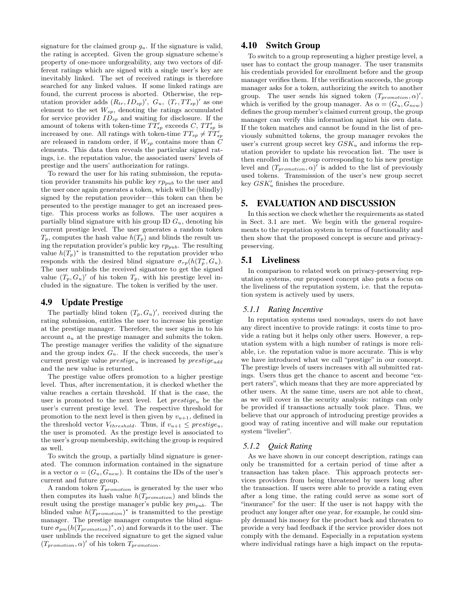signature for the claimed group  $g_u$ . If the signature is valid, the rating is accepted. Given the group signature scheme's property of one-more unforgeability, any two vectors of different ratings which are signed with a single user's key are inevitably linked. The set of received ratings is therefore searched for any linked values. If some linked ratings are found, the current process is aborted. Otherwise, the reputation provider adds  $(R_{tr}, ID_{sp})'$ ,  $G_u$ ,  $(T_r, TT_{sp})'$  as one element to the set  $W_{sp}$ , denoting the ratings accumulated for service provider  $ID_{sp}$  and waiting for disclosure. If the amount of tokens with token-time  $TT'_{sp}$  exceeds C,  $TT'_{sp}$  is increased by one. All ratings with token-time  $TT_{sp} \neq TT'_{sp}$ are released in random order, if  $W_{sp}$  contains more than  $\dot{C}$ elements. This data then reveals the particular signed ratings, i.e. the reputation value, the associated users' levels of prestige and the users' authorization for ratings.

To reward the user for his rating submission, the reputation provider transmits his public key  $rp_{pub}$  to the user and the user once again generates a token, which will be (blindly) signed by the reputation provider—this token can then be presented to the prestige manager to get an increased prestige. This process works as follows. The user acquires a partially blind signature with his group ID  $G_u$ , denoting his current prestige level. The user generates a random token  $T_p$ , computes the hash value  $h(T_p)$  and blinds the result using the reputation provider's public key  $rp_{pub}$ . The resulting value  $h(T_p)^*$  is transmitted to the reputation provider who responds with the desired blind signature  $\sigma_{rp}(h(T_p^*, G_u))$ . The user unblinds the received signature to get the signed value  $(T_p, G_u)'$  of his token  $T_p$ , with his prestige level included in the signature. The token is verified by the user.

#### 4.9 Update Prestige

The partially blind token  $(T_p, G_u)'$ , received during the rating submission, entitles the user to increase his prestige at the prestige manager. Therefore, the user signs in to his account  $a_u$  at the prestige manager and submits the token. The prestige manager verifies the validity of the signature and the group index  $G_u$ . If the check succeeds, the user's current prestige value  $prestige_u$  is increased by  $prestige_{add}$ and the new value is returned.

The prestige value offers promotion to a higher prestige level. Thus, after incrementation, it is checked whether the value reaches a certain threshold. If that is the case, the user is promoted to the next level. Let  $prestige_u$  be the user's current prestige level. The respective threshold for promotion to the next level is then given by  $v_{u+1}$ , defined in the threshold vector  $V_{threshold}$ . Thus, if  $v_{u+1} \leq prestige_u$ , the user is promoted. As the prestige level is associated to the user's group membership, switching the group is required as well.

To switch the group, a partially blind signature is generated. The common information contained in the signature is a vector  $\alpha = (G_u, G_{new})$ . It contains the IDs of the user's current and future group.

A random token  $T_{promotion}$  is generated by the user who then computes its hash value  $h(T_{promotion})$  and blinds the result using the prestige manager's public key  $pm_{pub}$ . The blinded value  $h(T_{promotion})^*$  is transmitted to the prestige manager. The prestige manager computes the blind signature  $\sigma_{pm}(h(T_{promotion})^*, \alpha)$  and forwards it to the user. The user unblinds the received signature to get the signed value  $(T_{promotion}, \alpha)'$  of his token  $T_{promotion}$ .

#### 4.10 Switch Group

To switch to a group representing a higher prestige level, a user has to contact the group manager. The user transmits his credentials provided for enrollment before and the group manager verifies them. If the verification succeeds, the group manager asks for a token, authorizing the switch to another group. The user sends his signed token  $(T_{promotion}, \alpha)'$ , which is verified by the group manager. As  $\alpha = (G_u, G_{new})$ defines the group member's claimed current group, the group manager can verify this information against his own data. If the token matches and cannot be found in the list of previously submitted tokens, the group manager revokes the user's current group secret key  $GSK_u$  and informs the reputation provider to update his revocation list. The user is then enrolled in the group corresponding to his new prestige level and  $(T_{promotion}, \alpha)'$  is added to the list of previously used tokens. Transmission of the user's new group secret key  $GSK'_u$  finishes the procedure.

#### 5. EVALUATION AND DISCUSSION

In this section we check whether the requirements as stated in Sect. 3.1 are met. We begin with the general requirements to the reputation system in terms of functionality and then show that the proposed concept is secure and privacypreserving.

#### 5.1 Liveliness

In comparison to related work on privacy-preserving reputation systems, our proposed concept also puts a focus on the liveliness of the reputation system, i.e. that the reputation system is actively used by users.

#### *5.1.1 Rating Incentive*

In reputation systems used nowadays, users do not have any direct incentive to provide ratings: it costs time to provide a rating but it helps only other users. However, a reputation system with a high number of ratings is more reliable, i.e. the reputation value is more accurate. This is why we have introduced what we call "prestige" in our concept. The prestige levels of users increases with all submitted ratings. Users thus get the chance to ascent and become "expert raters", which means that they are more appreciated by other users. At the same time, users are not able to cheat, as we will cover in the security analysis: ratings can only be provided if transactions actually took place. Thus, we believe that our approach of introducing prestige provides a good way of rating incentive and will make our reputation system "livelier".

#### *5.1.2 Quick Rating*

As we have shown in our concept description, ratings can only be transmitted for a certain period of time after a transaction has taken place. This approach protects services providers from being threatened by users long after the transaction. If users were able to provide a rating even after a long time, the rating could serve as some sort of "insurance" for the user: If the user is not happy with the product any longer after one year, for example, he could simply demand his money for the product back and threaten to provide a very bad feedback if the service provider does not comply with the demand. Especially in a reputation system where individual ratings have a high impact on the reputa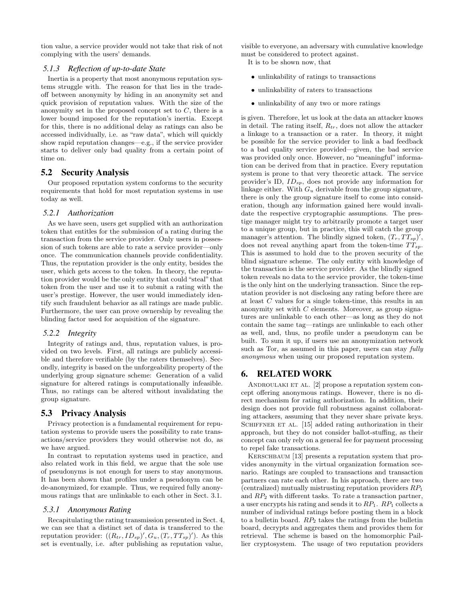tion value, a service provider would not take that risk of not complying with the users' demands.

#### *5.1.3 Reflection of up-to-date State*

Inertia is a property that most anonymous reputation systems struggle with. The reason for that lies in the tradeoff between anonymity by hiding in an anonymity set and quick provision of reputation values. With the size of the anonymity set in the proposed concept set to  $C$ , there is a lower bound imposed for the reputation's inertia. Except for this, there is no additional delay as ratings can also be accessed individually, i.e. as "raw data", which will quickly show rapid reputation changes—e.g., if the service provider starts to deliver only bad quality from a certain point of time on.

#### 5.2 Security Analysis

Our proposed reputation system conforms to the security requirements that hold for most reputation systems in use today as well.

#### *5.2.1 Authorization*

As we have seen, users get supplied with an authorization token that entitles for the submission of a rating during the transaction from the service provider. Only users in possession of such tokens are able to rate a service provider—only once. The communication channels provide confidentiality. Thus, the reputation provider is the only entity, besides the user, which gets access to the token. In theory, the reputation provider would be the only entity that could "steal" that token from the user and use it to submit a rating with the user's prestige. However, the user would immediately identify such fraudulent behavior as all ratings are made public. Furthermore, the user can prove ownership by revealing the blinding factor used for acquisition of the signature.

#### *5.2.2 Integrity*

Integrity of ratings and, thus, reputation values, is provided on two levels. First, all ratings are publicly accessible and therefore verifiable (by the raters themselves). Secondly, integrity is based on the unforgeability property of the underlying group signature scheme: Generation of a valid signature for altered ratings is computationally infeasible. Thus, no ratings can be altered without invalidating the group signature.

#### 5.3 Privacy Analysis

Privacy protection is a fundamental requirement for reputation systems to provide users the possibility to rate transactions/service providers they would otherwise not do, as we have argued.

In contrast to reputation systems used in practice, and also related work in this field, we argue that the sole use of pseudonyms is not enough for users to stay anonymous. It has been shown that profiles under a pseudonym can be de-anonymized, for example. Thus, we required fully anonymous ratings that are unlinkable to each other in Sect. 3.1.

#### *5.3.1 Anonymous Rating*

Recapitulating the rating transmission presented in Sect. 4, we can see that a distinct set of data is transferred to the reputation provider:  $((R_{tr}, ID_{sp})', G_u, (T_r, TT_{sp})')$ . As this set is eventually, i.e. after publishing as reputation value,

visible to everyone, an adversary with cumulative knowledge must be considered to protect against.

It is to be shown now, that

- unlinkability of ratings to transactions
- unlinkability of raters to transactions
- unlinkability of any two or more ratings

is given. Therefore, let us look at the data an attacker knows in detail. The rating itself,  $R_{tr}$ , does not allow the attacker a linkage to a transaction or a rater. In theory, it might be possible for the service provider to link a bad feedback to a bad quality service provided—given, the bad service was provided only once. However, no "meaningful" information can be derived from that in practice. Every reputation system is prone to that very theoretic attack. The service provider's ID,  $ID_{sp}$ , does not provide any information for linkage either. With  $G_u$  derivable from the group signature, there is only the group signature itself to come into consideration, though any information gained here would invalidate the respective cryptographic assumptions. The prestige manager might try to arbitrarily promote a target user to a unique group, but in practice, this will catch the group manager's attention. The blindly signed token,  $(T_r, TT_{sp})^7$ , does not reveal anything apart from the token-time  $TT_{sp}$ . This is assumed to hold due to the proven security of the blind signature scheme. The only entity with knowledge of the transaction is the service provider. As the blindly signed token reveals no data to the service provider, the token-time is the only hint on the underlying transaction. Since the reputation provider is not disclosing any rating before there are at least C values for a single token-time, this results in an anonymity set with  $C$  elements. Moreover, as group signatures are unlinkable to each other—as long as they do not contain the same tag—ratings are unlinkable to each other as well, and, thus, no profile under a pseudonym can be built. To sum it up, if users use an anonymization network such as Tor, as assumed in this paper, users can stay fully anonymous when using our proposed reputation system.

#### 6. RELATED WORK

ANDROULAKI ET AL. [2] propose a reputation system concept offering anonymous ratings. However, there is no direct mechanism for rating authorization. In addition, their design does not provide full robustness against collaborating attackers, assuming that they never share private keys. SCHIFFNER ET AL. [15] added rating authorization in their approach, but they do not consider ballot-stuffing, as their concept can only rely on a general fee for payment processing to repel fake transactions.

KERSCHBAUM [13] presents a reputation system that provides anonymity in the virtual organization formation scenario. Ratings are coupled to transactions and transaction partners can rate each other. In his approach, there are two (centralized) mutually mistrusting reputation providers  $RP_1$ and  $RP<sub>2</sub>$  with different tasks. To rate a transaction partner, a user encrypts his rating and sends it to  $RP_1$ .  $RP_1$  collects a number of individual ratings before posting them in a block to a bulletin board.  $RP_2$  takes the ratings from the bulletin board, decrypts and aggregates them and provides them for retrieval. The scheme is based on the homomorphic Paillier cryptosystem. The usage of two reputation providers